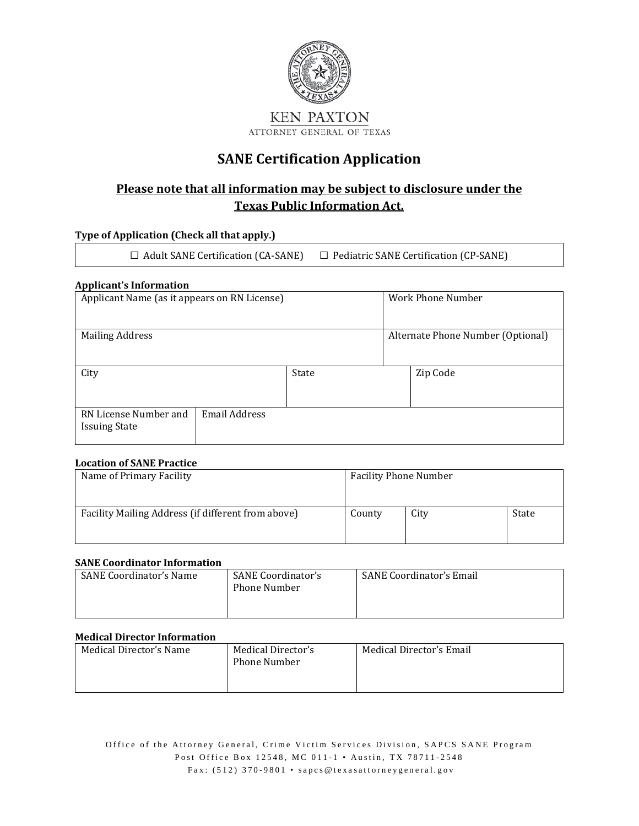

### **SANE Certification Application**

### **Please note that all information may be subject to disclosure under the Texas Public Information Act.**

#### **Type of Application (Check all that apply.)**

☐ Adult SANE Certification (CA-SANE) ☐ Pediatric SANE Certification (CP-SANE)

#### **Applicant's Information**

| Applicant Name (as it appears on RN License)  |                      |       | Work Phone Number |                                   |
|-----------------------------------------------|----------------------|-------|-------------------|-----------------------------------|
| <b>Mailing Address</b>                        |                      |       |                   | Alternate Phone Number (Optional) |
| City                                          |                      | State | Zip Code          |                                   |
| RN License Number and<br><b>Issuing State</b> | <b>Email Address</b> |       |                   |                                   |

#### **Location of SANE Practice**

| Name of Primary Facility                           |        | <b>Facility Phone Number</b> |       |  |
|----------------------------------------------------|--------|------------------------------|-------|--|
|                                                    |        |                              |       |  |
| Facility Mailing Address (if different from above) | County | City                         | State |  |
|                                                    |        |                              |       |  |

#### **SANE Coordinator Information**

| <b>SANE Coordinator's Name</b> | <b>SANE Coordinator's</b><br><b>Phone Number</b> | <b>SANE Coordinator's Email</b> |
|--------------------------------|--------------------------------------------------|---------------------------------|
|--------------------------------|--------------------------------------------------|---------------------------------|

#### **Medical Director Information**

| Medical Director's Name | Medical Director's<br><b>Phone Number</b> | Medical Director's Email |
|-------------------------|-------------------------------------------|--------------------------|
|                         |                                           |                          |

Office of the Attorney General, Crime Victim Services Division, SAPCS SANE Program Post Office Box 12548, MC 011-1 • Austin, TX 78711-2548 Fax: (512) 370-9801 • [sapcs@texasattorneygeneral.gov](mailto:sapcs@texasattorneygeneral.gov?subject=SANE%20Certification%20or%20Re-Certification%20Application%20Packet)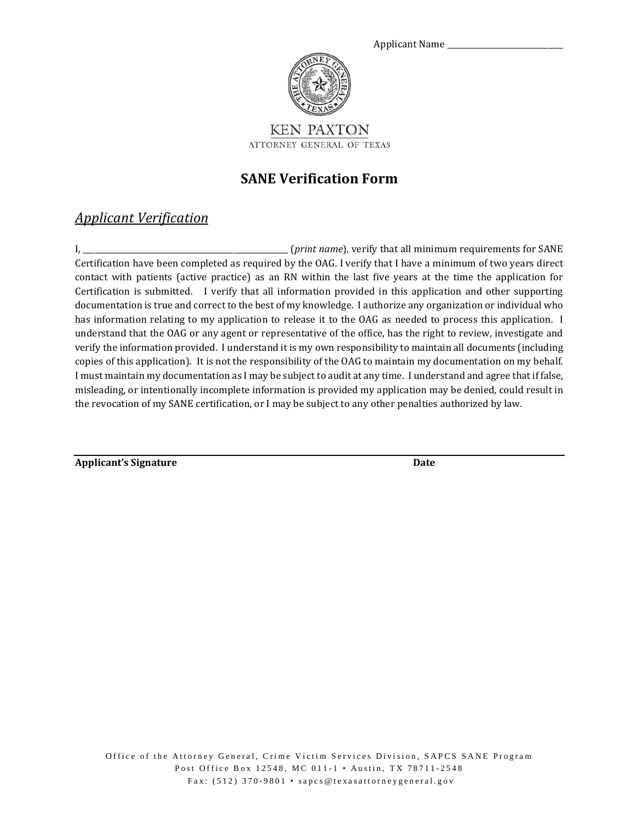

ATTORNEY GENERAL OF TEXAS

## **SANE Verification Form**

### *Applicant Verification*

I, \_\_\_\_\_\_\_\_\_\_\_\_\_\_\_\_\_\_\_\_\_\_\_\_\_\_\_\_\_\_\_\_\_\_\_\_\_\_\_\_\_\_\_\_\_\_\_\_\_\_\_\_\_ (*print name*), verify that all minimum requirements for SANE Certification have been completed as required by the OAG. I verify that I have a minimum of two years direct contact with patients (active practice) as an RN within the last five years at the time the application for Certification is submitted. I verify that all information provided in this application and other supporting documentation is true and correct to the best of my knowledge. I authorize any organization or individual who has information relating to my application to release it to the OAG as needed to process this application. I understand that the OAG or any agent or representative of the office, has the right to review, investigate and verify the information provided. I understand it is my own responsibility to maintain all documents (including copies of this application). It is not the responsibility of the OAG to maintain my documentation on my behalf. I must maintain my documentation as I may be subject to audit at any time. I understand and agree that if false, misleading, or intentionally incomplete information is provided my application may be denied, could result in the revocation of my SANE certification, or I may be subject to any other penalties authorized by law.

**Applicant's Signature Date**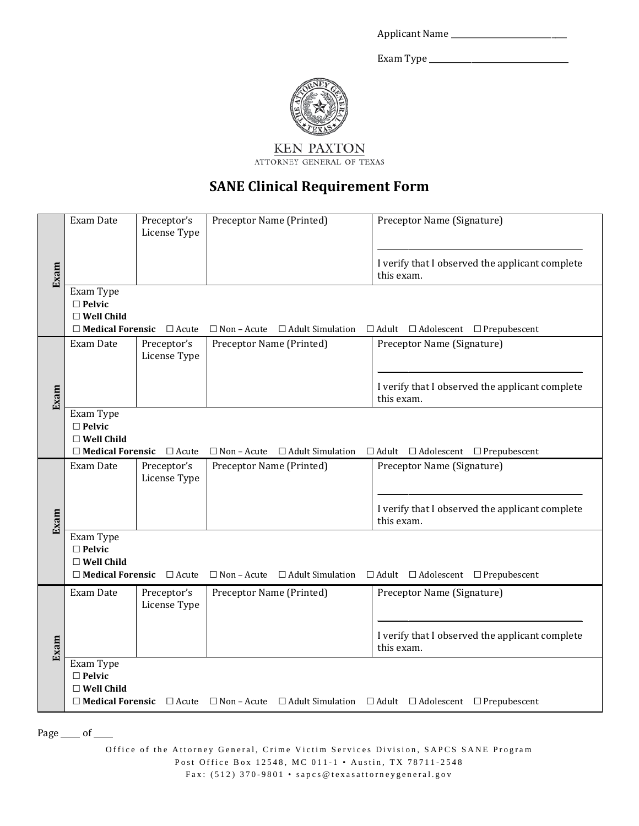| <b>Applicant Name</b> |  |
|-----------------------|--|
|-----------------------|--|

Exam Type \_\_\_\_\_\_\_\_\_\_\_\_\_\_\_\_\_\_\_\_\_\_\_\_\_\_\_\_\_\_\_\_\_\_\_\_



KEN PAXTON ATTORNEY GENERAL OF TEXAS

# **SANE Clinical Requirement Form**

|                                                   | Exam Date                                          | Preceptor's<br>License Type          | Preceptor Name (Printed)                   | Preceptor Name (Signature)                                                                                                                |
|---------------------------------------------------|----------------------------------------------------|--------------------------------------|--------------------------------------------|-------------------------------------------------------------------------------------------------------------------------------------------|
| Exam                                              |                                                    |                                      |                                            | I verify that I observed the applicant complete<br>this exam.                                                                             |
|                                                   | Exam Type<br>$\square$ Pelvic<br>$\Box$ Well Child |                                      |                                            |                                                                                                                                           |
|                                                   |                                                    | $\Box$ Medical Forensic $\Box$ Acute | $\Box$ Non – Acute $\Box$ Adult Simulation | $\Box$ Adult $\Box$ Adolescent $\Box$ Prepubescent                                                                                        |
|                                                   | Exam Date                                          | Preceptor's<br>License Type          | Preceptor Name (Printed)                   | Preceptor Name (Signature)                                                                                                                |
| Exam                                              |                                                    |                                      |                                            | I verify that I observed the applicant complete<br>this exam.                                                                             |
|                                                   | Exam Type<br>$\square$ Pelvic<br>$\Box$ Well Child |                                      |                                            |                                                                                                                                           |
|                                                   |                                                    | $\Box$ Medical Forensic $\Box$ Acute | $\Box$ Non - Acute $\Box$ Adult Simulation | $\Box$ Adult $\Box$ Adolescent $\Box$ Prepubescent                                                                                        |
|                                                   | Exam Date                                          | Preceptor's<br>License Type          | Preceptor Name (Printed)                   | Preceptor Name (Signature)                                                                                                                |
| Exam                                              |                                                    |                                      |                                            | I verify that I observed the applicant complete<br>this exam.                                                                             |
|                                                   | Exam Type<br>$\Box$ Pelvic<br>$\Box$ Well Child    |                                      |                                            |                                                                                                                                           |
|                                                   |                                                    | $\Box$ Medical Forensic $\Box$ Acute | $\Box$ Non – Acute $\Box$ Adult Simulation | $\Box$ Adult $\Box$ Adolescent $\Box$ Prepubescent                                                                                        |
|                                                   | Exam Date                                          | Preceptor's<br>License Type          | Preceptor Name (Printed)                   | Preceptor Name (Signature)                                                                                                                |
| Exam                                              |                                                    |                                      |                                            | I verify that I observed the applicant complete<br>this exam.                                                                             |
|                                                   | Exam Type<br>$\Box$ Pelvic<br>$\square$ Well Child |                                      |                                            |                                                                                                                                           |
|                                                   |                                                    |                                      |                                            | $\Box$ <b>Medical Forensic</b> $\Box$ Acute $\Box$ Non - Acute $\Box$ Adult Simulation $\Box$ Adult $\Box$ Adolescent $\Box$ Prepubescent |
| Page $\rule{1em}{0.15mm}$ of $\rule{1em}{0.15mm}$ |                                                    |                                      |                                            |                                                                                                                                           |